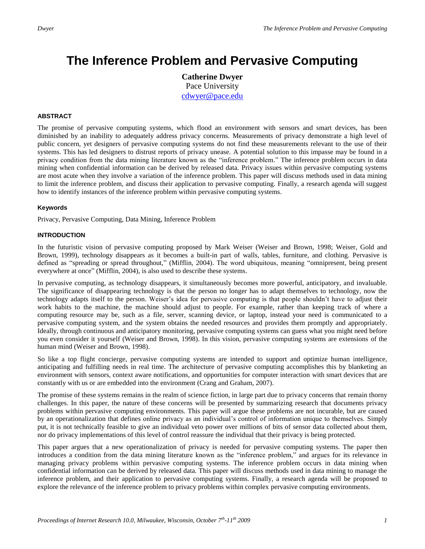# **The Inference Problem and Pervasive Computing**

**Catherine Dwyer** Pace University [cdwyer@pace.edu](mailto:cdwyer@pace.edu)

# **ABSTRACT**

The promise of pervasive computing systems, which flood an environment with sensors and smart devices, has been diminished by an inability to adequately address privacy concerns. Measurements of privacy demonstrate a high level of public concern, yet designers of pervasive computing systems do not find these measurements relevant to the use of their systems. This has led designers to distrust reports of privacy unease. A potential solution to this impasse may be found in a privacy condition from the data mining literature known as the "inference problem." The inference problem occurs in data mining when confidential information can be derived by released data. Privacy issues within pervasive computing systems are most acute when they involve a variation of the inference problem. This paper will discuss methods used in data mining to limit the inference problem, and discuss their application to pervasive computing. Finally, a research agenda will suggest how to identify instances of the inference problem within pervasive computing systems.

## **Keywords**

Privacy, Pervasive Computing, Data Mining, Inference Problem

## **INTRODUCTION**

In the futuristic vision of pervasive computing proposed by Mark Weiser (Weiser and Brown, 1998; Weiser, Gold and Brown, 1999), technology disappears as it becomes a built-in part of walls, tables, furniture, and clothing. Pervasive is defined as "spreading or spread throughout," (Mifflin, 2004). The word ubiquitous, meaning "omnipresent, being present everywhere at once" (Mifflin, 2004), is also used to describe these systems.

In pervasive computing, as technology disappears, it simultaneously becomes more powerful, anticipatory, and invaluable. The significance of disappearing technology is that the person no longer has to adapt themselves to technology, now the technology adapts itself to the person. Weiser's idea for pervasive computing is that people shouldn't have to adjust their work habits to the machine, the machine should adjust to people. For example, rather than keeping track of where a computing resource may be, such as a file, server, scanning device, or laptop, instead your need is communicated to a pervasive computing system, and the system obtains the needed resources and provides them promptly and appropriately. Ideally, through continuous and anticipatory monitoring, pervasive computing systems can guess what you might need before you even consider it yourself (Weiser and Brown, 1998). In this vision, pervasive computing systems are extensions of the human mind (Weiser and Brown, 1998).

So like a top flight concierge, pervasive computing systems are intended to support and optimize human intelligence, anticipating and fulfilling needs in real time. The architecture of pervasive computing accomplishes this by blanketing an environment with sensors, context aware notifications, and opportunities for computer interaction with smart devices that are constantly with us or are embedded into the environment (Crang and Graham, 2007).

The promise of these systems remains in the realm of science fiction, in large part due to privacy concerns that remain thorny challenges. In this paper, the nature of these concerns will be presented by summarizing research that documents privacy problems within pervasive computing environments. This paper will argue these problems are not incurable, but are caused by an operationalization that defines online privacy as an individual's control of information unique to themselves. Simply put, it is not technically feasible to give an individual veto power over millions of bits of sensor data collected about them, nor do privacy implementations of this level of control reassure the individual that their privacy is being protected.

This paper argues that a new operationalization of privacy is needed for pervasive computing systems. The paper then introduces a condition from the data mining literature known as the "inference problem," and argues for its relevance in managing privacy problems within pervasive computing systems. The inference problem occurs in data mining when confidential information can be derived by released data. This paper will discuss methods used in data mining to manage the inference problem, and their application to pervasive computing systems. Finally, a research agenda will be proposed to explore the relevance of the inference problem to privacy problems within complex pervasive computing environments.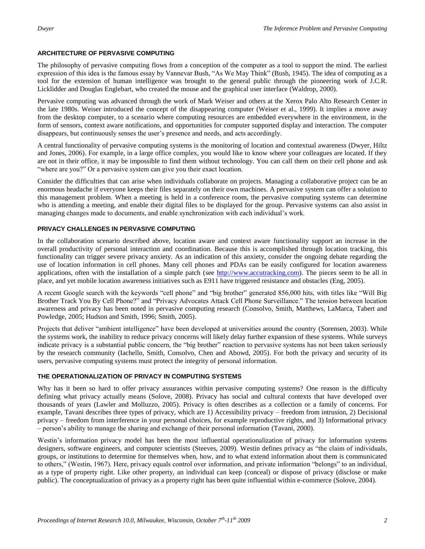# **ARCHITECTURE OF PERVASIVE COMPUTING**

The philosophy of pervasive computing flows from a conception of the computer as a tool to support the mind. The earliest expression of this idea is the famous essay by Vannevar Bush, "As We May Think" (Bush, 1945). The idea of computing as a tool for the extension of human intelligence was brought to the general public through the pioneering work of J.C.R. Licklidder and Douglas Englebart, who created the mouse and the graphical user interface (Waldrop, 2000).

Pervasive computing was advanced through the work of Mark Weiser and others at the Xerox Palo Alto Research Center in the late 1980s. Weiser introduced the concept of the disappearing computer (Weiser et al., 1999). It implies a move away from the desktop computer, to a scenario where computing resources are embedded everywhere in the environment, in the form of sensors, context aware notifications, and opportunities for computer supported display and interaction. The computer disappears, but continuously senses the user's presence and needs, and acts accordingly.

A central functionality of pervasive computing systems is the monitoring of location and contextual awareness (Dwyer, Hiltz and Jones, 2006). For example, in a large office complex, you would like to know where your colleagues are located. If they are not in their office, it may be impossible to find them without technology. You can call them on their cell phone and ask "where are you?" Or a pervasive system can give you their exact location.

Consider the difficulties that can arise when individuals collaborate on projects. Managing a collaborative project can be an enormous headache if everyone keeps their files separately on their own machines. A pervasive system can offer a solution to this management problem. When a meeting is held in a conference room, the pervasive computing systems can determine who is attending a meeting, and enable their digital files to be displayed for the group. Pervasive systems can also assist in managing changes made to documents, and enable synchronization with each individual's work.

## **PRIVACY CHALLENGES IN PERVASIVE COMPUTING**

In the collaboration scenario described above, location aware and context aware functionality support an increase in the overall productivity of personal interaction and coordination. Because this is accomplished through location tracking, this functionality can trigger severe privacy anxiety. As an indication of this anxiety, consider the ongoing debate regarding the use of location information in cell phones. Many cell phones and PDAs can be easily configured for location awareness applications, often with the installation of a simple patch (see [http://www.accutracking.com\)](http://www.accutracking.com/). The pieces seem to be all in place, and yet mobile location awareness initiatives such as E911 have triggered resistance and obstacles (Eng, 2005).

A recent Google search with the keywords "cell phone" and "big brother" generated 856,000 hits, with titles like "Will Big Brother Track You By Cell Phone?" and "Privacy Advocates Attack Cell Phone Surveillance." The tension between location awareness and privacy has been noted in pervasive computing research (Consolvo, Smith, Matthews, LaMarca, Tabert and Powledge, 2005; Hudson and Smith, 1996; Smith, 2005).

Projects that deliver "ambient intelligence" have been developed at universities around the country (Sorensen, 2003). While the systems work, the inability to reduce privacy concerns will likely delay further expansion of these systems. While surveys indicate privacy is a substantial public concern, the "big brother" reaction to pervasive systems has not been taken seriously by the research community (Iachello, Smith, Consolvo, Chen and Abowd, 2005). For both the privacy and security of its users, pervasive computing systems must protect the integrity of personal information.

#### **THE OPERATIONALIZATION OF PRIVACY IN COMPUTING SYSTEMS**

Why has it been so hard to offer privacy assurances within pervasive computing systems? One reason is the difficulty defining what privacy actually means (Solove, 2008). Privacy has social and cultural contexts that have developed over thousands of years (Lawler and Molluzzo, 2005). Privacy is often describes as a collection or a family of concerns. For example, Tavani describes three types of privacy, which are 1) Accessibility privacy – freedom from intrusion, 2) Decisional privacy – freedom from interference in your personal choices, for example reproductive rights, and 3) Informational privacy – person's ability to manage the sharing and exchange of their personal information (Tavani, 2000).

Westin's information privacy model has been the most influential operationalization of privacy for information systems designers, software engineers, and computer scientists (Steeves, 2009). Westin defines privacy as "the claim of individuals, groups, or institutions to determine for themselves when, how, and to what extend information about them is communicated to others," (Westin, 1967). Here, privacy equals control over information, and private information "belongs" to an individual, as a type of property right. Like other property, an individual can keep (conceal) or dispose of privacy (disclose or make public). The conceptualization of privacy as a property right has been quite influential within e-commerce (Solove, 2004).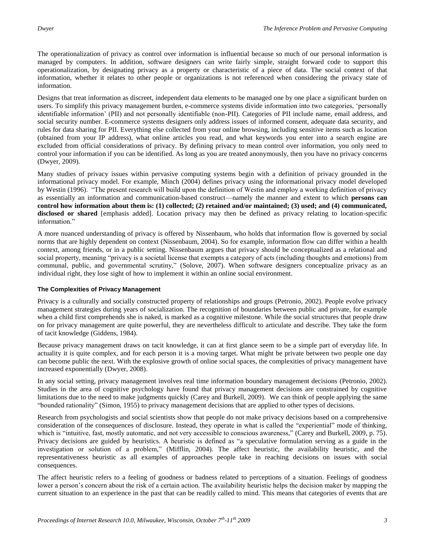The operationalization of privacy as control over information is influential because so much of our personal information is managed by computers. In addition, software designers can write fairly simple, straight forward code to support this operationalization, by designating privacy as a property or characteristic of a piece of data. The social context of that information, whether it relates to other people or organizations is not referenced when considering the privacy state of information.

Designs that treat information as discreet, independent data elements to be managed one by one place a significant burden on users. To simplify this privacy management burden, e-commerce systems divide information into two categories, 'personally identifiable information' (PII) and not personally identifiable (non-PII). Categories of PII include name, email address, and social security number. E-commerce systems designers only address issues of informed consent, adequate data security, and rules for data sharing for PII. Everything else collected from your online browsing, including sensitive items such as location (obtained from your IP address), what online articles you read, and what keywords you enter into a search engine are excluded from official considerations of privacy. By defining privacy to mean control over information, you only need to control your information if you can be identified. As long as you are treated anonymously, then you have no privacy concerns (Dwyer, 2009).

Many studies of privacy issues within pervasive computing systems begin with a definition of privacy grounded in the informational privacy model. For example, Minch (2004) defines privacy using the informational privacy model developed by Westin (1996). "The present research will build upon the definition of Westin and employ a working definition of privacy as essentially an information and communication-based construct—namely the manner and extent to which **persons can control how information about them is: (1) collected; (2) retained and/or maintained; (3) used; and (4) communicated, disclosed or shared** [emphasis added]. Location privacy may then be defined as privacy relating to location-specific information."

A more nuanced understanding of privacy is offered by Nissenbaum, who holds that information flow is governed by social norms that are highly dependent on context (Nissenbaum, 2004). So for example, information flow can differ within a health context, among friends, or in a public setting. Nissenbaum argues that privacy should be conceptualized as a relational and social property, meaning "privacy is a societal license that exempts a category of acts (including thoughts and emotions) from communal, public, and governmental scrutiny," (Solove, 2007). When software designers conceptualize privacy as an individual right, they lose sight of how to implement it within an online social environment.

# **The Complexities of Privacy Management**

Privacy is a culturally and socially constructed property of relationships and groups (Petronio, 2002). People evolve privacy management strategies during years of socialization. The recognition of boundaries between public and private, for example when a child first comprehends she is naked, is marked as a cognitive milestone. While the social structures that people draw on for privacy management are quite powerful, they are nevertheless difficult to articulate and describe. They take the form of tacit knowledge (Giddens, 1984).

Because privacy management draws on tacit knowledge, it can at first glance seem to be a simple part of everyday life. In actuality it is quite complex, and for each person it is a moving target. What might be private between two people one day can become public the next. With the explosive growth of online social spaces, the complexities of privacy management have increased exponentially (Dwyer, 2008).

In any social setting, privacy management involves real time information boundary management decisions (Petronio, 2002). Studies in the area of cognitive psychology have found that privacy management decisions are constrained by cognitive limitations due to the need to make judgments quickly (Carey and Burkell, 2009). We can think of people applying the same ―bounded rationality‖ (Simon, 1955) to privacy management decisions that are applied to other types of decisions.

Research from psychologists and social scientists show that people do not make privacy decisions based on a comprehensive consideration of the consequences of disclosure. Instead, they operate in what is called the "experiential" mode of thinking, which is "intuitive, fast, mostly automatic, and not very accessible to conscious awareness," (Carey and Burkell, 2009, p. 75). Privacy decisions are guided by heuristics. A heuristic is defined as "a speculative formulation serving as a guide in the investigation or solution of a problem," (Mifflin, 2004). The affect heuristic, the availability heuristic, and the representativeness heuristic as all examples of approaches people take in reaching decisions on issues with social consequences.

The affect heuristic refers to a feeling of goodness or badness related to perceptions of a situation. Feelings of goodness lower a person's concern about the risk of a certain action. The availability heuristic helps the decision maker by mapping the current situation to an experience in the past that can be readily called to mind. This means that categories of events that are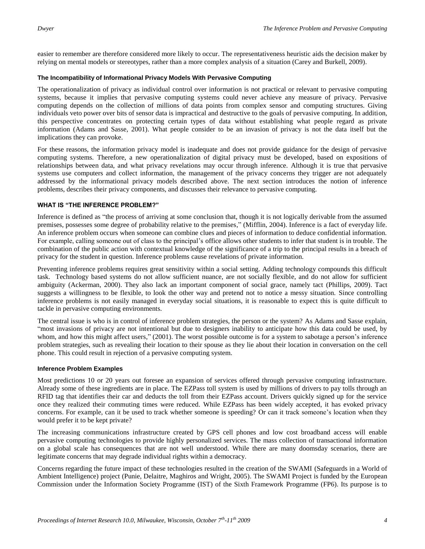easier to remember are therefore considered more likely to occur. The representativeness heuristic aids the decision maker by relying on mental models or stereotypes, rather than a more complex analysis of a situation (Carey and Burkell, 2009).

#### **The Incompatibility of Informational Privacy Models With Pervasive Computing**

The operationalization of privacy as individual control over information is not practical or relevant to pervasive computing systems, because it implies that pervasive computing systems could never achieve any measure of privacy. Pervasive computing depends on the collection of millions of data points from complex sensor and computing structures. Giving individuals veto power over bits of sensor data is impractical and destructive to the goals of pervasive computing. In addition, this perspective concentrates on protecting certain types of data without establishing what people regard as private information (Adams and Sasse, 2001). What people consider to be an invasion of privacy is not the data itself but the implications they can provoke.

For these reasons, the information privacy model is inadequate and does not provide guidance for the design of pervasive computing systems. Therefore, a new operationalization of digital privacy must be developed, based on expositions of relationships between data, and what privacy revelations may occur through inference. Although it is true that pervasive systems use computers and collect information, the management of the privacy concerns they trigger are not adequately addressed by the informational privacy models described above. The next section introduces the notion of inference problems, describes their privacy components, and discusses their relevance to pervasive computing.

## **WHAT IS "THE INFERENCE PROBLEM?"**

Inference is defined as "the process of arriving at some conclusion that, though it is not logically derivable from the assumed premises, possesses some degree of probability relative to the premises," (Mifflin, 2004). Inference is a fact of everyday life. An inference problem occurs when someone can combine clues and pieces of information to deduce confidential information. For example, calling someone out of class to the principal's office allows other students to infer that student is in trouble. The combination of the public action with contextual knowledge of the significance of a trip to the principal results in a breach of privacy for the student in question. Inference problems cause revelations of private information.

Preventing inference problems requires great sensitivity within a social setting. Adding technology compounds this difficult task. Technology based systems do not allow sufficient nuance, are not socially flexible, and do not allow for sufficient ambiguity (Ackerman, 2000). They also lack an important component of social grace, namely tact (Phillips, 2009). Tact suggests a willingness to be flexible, to look the other way and pretend not to notice a messy situation. Since controlling inference problems is not easily managed in everyday social situations, it is reasonable to expect this is quite difficult to tackle in pervasive computing environments.

The central issue is who is in control of inference problem strategies, the person or the system? As Adams and Sasse explain, ―most invasions of privacy are not intentional but due to designers inability to anticipate how this data could be used, by whom, and how this might affect users," (2001). The worst possible outcome is for a system to sabotage a person's inference problem strategies, such as revealing their location to their spouse as they lie about their location in conversation on the cell phone. This could result in rejection of a pervasive computing system.

#### **Inference Problem Examples**

Most predictions 10 or 20 years out foresee an expansion of services offered through pervasive computing infrastructure. Already some of these ingredients are in place. The EZPass toll system is used by millions of drivers to pay tolls through an RFID tag that identifies their car and deducts the toll from their EZPass account. Drivers quickly signed up for the service once they realized their commuting times were reduced. While EZPass has been widely accepted, it has evoked privacy concerns. For example, can it be used to track whether someone is speeding? Or can it track someone's location when they would prefer it to be kept private?

The increasing communications infrastructure created by GPS cell phones and low cost broadband access will enable pervasive computing technologies to provide highly personalized services. The mass collection of transactional information on a global scale has consequences that are not well understood. While there are many doomsday scenarios, there are legitimate concerns that may degrade individual rights within a democracy.

Concerns regarding the future impact of these technologies resulted in the creation of the SWAMI (Safeguards in a World of Ambient Intelligence) project (Punie, Delaitre, Maghiros and Wright, 2005). The SWAMI Project is funded by the European Commission under the Information Society Programme (IST) of the Sixth Framework Programme (FP6). Its purpose is to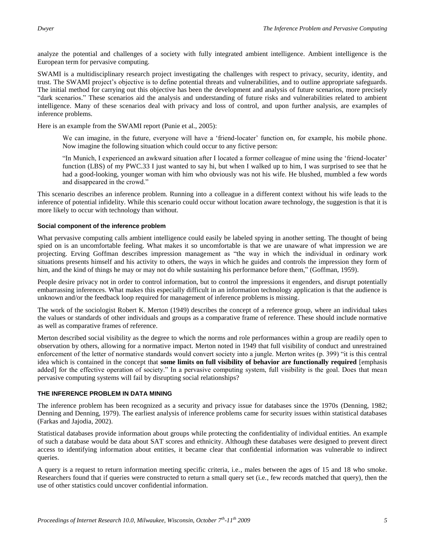analyze the potential and challenges of a society with fully integrated ambient intelligence. Ambient intelligence is the European term for pervasive computing.

SWAMI is a multidisciplinary research project investigating the challenges with respect to privacy, security, identity, and trust. The SWAMI project's objective is to define potential threats and vulnerabilities, and to outline appropriate safeguards. The initial method for carrying out this objective has been the development and analysis of future scenarios, more precisely ―dark scenarios.‖ These scenarios aid the analysis and understanding of future risks and vulnerabilities related to ambient intelligence. Many of these scenarios deal with privacy and loss of control, and upon further analysis, are examples of inference problems.

Here is an example from the SWAMI report (Punie et al., 2005):

We can imagine, in the future, everyone will have a 'friend-locater' function on, for example, his mobile phone. Now imagine the following situation which could occur to any fictive person:

―In Munich, I experienced an awkward situation after I located a former colleague of mine using the ‗friend-locater' function (LBS) of my PWC.33 I just wanted to say hi, but when I walked up to him, I was surprised to see that he had a good-looking, younger woman with him who obviously was not his wife. He blushed, mumbled a few words and disappeared in the crowd."

This scenario describes an inference problem. Running into a colleague in a different context without his wife leads to the inference of potential infidelity. While this scenario could occur without location aware technology, the suggestion is that it is more likely to occur with technology than without.

#### **Social component of the inference problem**

What pervasive computing calls ambient intelligence could easily be labeled spying in another setting. The thought of being spied on is an uncomfortable feeling. What makes it so uncomfortable is that we are unaware of what impression we are projecting. Erving Goffman describes impression management as "the way in which the individual in ordinary work situations presents himself and his activity to others, the ways in which he guides and controls the impression they form of him, and the kind of things he may or may not do while sustaining his performance before them," (Goffman, 1959).

People desire privacy not in order to control information, but to control the impressions it engenders, and disrupt potentially embarrassing inferences. What makes this especially difficult in an information technology application is that the audience is unknown and/or the feedback loop required for management of inference problems is missing.

The work of the sociologist Robert K. Merton (1949) describes the concept of a reference group, where an individual takes the values or standards of other individuals and groups as a comparative frame of reference. These should include normative as well as comparative frames of reference.

Merton described social visibility as the degree to which the norms and role performances within a group are readily open to observation by others, allowing for a normative impact. Merton noted in 1949 that full visibility of conduct and unrestrained enforcement of the letter of normative standards would convert society into a jungle. Merton writes (p. 399) "it is this central idea which is contained in the concept that **some limits on full visibility of behavior are functionally required** [emphasis added] for the effective operation of society." In a pervasive computing system, full visibility is the goal. Does that mean pervasive computing systems will fail by disrupting social relationships?

#### **THE INFERENCE PROBLEM IN DATA MINING**

The inference problem has been recognized as a security and privacy issue for databases since the 1970s (Denning, 1982; Denning and Denning, 1979). The earliest analysis of inference problems came for security issues within statistical databases (Farkas and Jajodia, 2002).

Statistical databases provide information about groups while protecting the confidentiality of individual entities. An example of such a database would be data about SAT scores and ethnicity. Although these databases were designed to prevent direct access to identifying information about entities, it became clear that confidential information was vulnerable to indirect queries.

A query is a request to return information meeting specific criteria, i.e., males between the ages of 15 and 18 who smoke. Researchers found that if queries were constructed to return a small query set (i.e., few records matched that query), then the use of other statistics could uncover confidential information.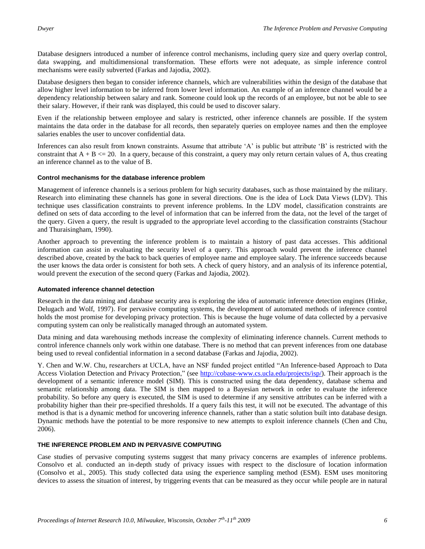Database designers introduced a number of inference control mechanisms, including query size and query overlap control, data swapping, and multidimensional transformation. These efforts were not adequate, as simple inference control mechanisms were easily subverted (Farkas and Jajodia, 2002).

Database designers then began to consider inference channels, which are vulnerabilities within the design of the database that allow higher level information to be inferred from lower level information. An example of an inference channel would be a dependency relationship between salary and rank. Someone could look up the records of an employee, but not be able to see their salary. However, if their rank was displayed, this could be used to discover salary.

Even if the relationship between employee and salary is restricted, other inference channels are possible. If the system maintains the data order in the database for all records, then separately queries on employee names and then the employee salaries enables the user to uncover confidential data.

Inferences can also result from known constraints. Assume that attribute 'A' is public but attribute 'B' is restricted with the constraint that  $A + B \le 20$ . In a query, because of this constraint, a query may only return certain values of A, thus creating an inference channel as to the value of B.

## **Control mechanisms for the database inference problem**

Management of inference channels is a serious problem for high security databases, such as those maintained by the military. Research into eliminating these channels has gone in several directions. One is the idea of Lock Data Views (LDV). This technique uses classification constraints to prevent inference problems. In the LDV model, classification constraints are defined on sets of data according to the level of information that can be inferred from the data, not the level of the target of the query. Given a query, the result is upgraded to the appropriate level according to the classification constraints (Stachour and Thuraisingham, 1990).

Another approach to preventing the inference problem is to maintain a history of past data accesses. This additional information can assist in evaluating the security level of a query. This approach would prevent the inference channel described above, created by the back to back queries of employee name and employee salary. The inference succeeds because the user knows the data order is consistent for both sets. A check of query history, and an analysis of its inference potential, would prevent the execution of the second query (Farkas and Jajodia, 2002).

#### **Automated inference channel detection**

Research in the data mining and database security area is exploring the idea of automatic inference detection engines (Hinke, Delugach and Wolf, 1997). For pervasive computing systems, the development of automated methods of inference control holds the most promise for developing privacy protection. This is because the huge volume of data collected by a pervasive computing system can only be realistically managed through an automated system.

Data mining and data warehousing methods increase the complexity of eliminating inference channels. Current methods to control inference channels only work within one database. There is no method that can prevent inferences from one database being used to reveal confidential information in a second database (Farkas and Jajodia, 2002).

Y. Chen and W.W. Chu, researchers at UCLA, have an NSF funded project entitled "An Inference-based Approach to Data Access Violation Detection and Privacy Protection," (see [http://cobase-www.cs.ucla.edu/projects/isp/\)](http://cobase-www.cs.ucla.edu/projects/isp/). Their approach is the development of a semantic inference model (SIM). This is constructed using the data dependency, database schema and semantic relationship among data. The SIM is then mapped to a Bayesian network in order to evaluate the inference probability. So before any query is executed, the SIM is used to determine if any sensitive attributes can be inferred with a probability higher than their pre-specified thresholds. If a query fails this test, it will not be executed. The advantage of this method is that is a dynamic method for uncovering inference channels, rather than a static solution built into database design. Dynamic methods have the potential to be more responsive to new attempts to exploit inference channels (Chen and Chu, 2006).

#### **THE INFERENCE PROBLEM AND IN PERVASIVE COMPUTING**

Case studies of pervasive computing systems suggest that many privacy concerns are examples of inference problems. Consolvo et al. conducted an in-depth study of privacy issues with respect to the disclosure of location information (Consolvo et al., 2005). This study collected data using the experience sampling method (ESM). ESM uses monitoring devices to assess the situation of interest, by triggering events that can be measured as they occur while people are in natural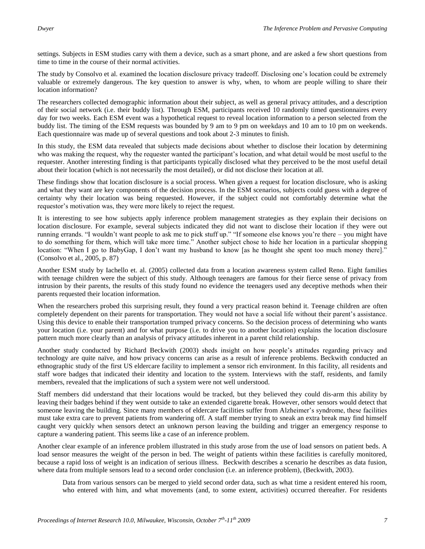settings. Subjects in ESM studies carry with them a device, such as a smart phone, and are asked a few short questions from time to time in the course of their normal activities.

The study by Consolvo et al. examined the location disclosure privacy tradeoff. Disclosing one's location could be extremely valuable or extremely dangerous. The key question to answer is why, when, to whom are people willing to share their location information?

The researchers collected demographic information about their subject, as well as general privacy attitudes, and a description of their social network (i.e. their buddy list). Through ESM, participants received 10 randomly timed questionnaires every day for two weeks. Each ESM event was a hypothetical request to reveal location information to a person selected from the buddy list. The timing of the ESM requests was bounded by 9 am to 9 pm on weekdays and 10 am to 10 pm on weekends. Each questionnaire was made up of several questions and took about 2-3 minutes to finish.

In this study, the ESM data revealed that subjects made decisions about whether to disclose their location by determining who was making the request, why the requester wanted the participant's location, and what detail would be most useful to the requester. Another interesting finding is that participants typically disclosed what they perceived to be the most useful detail about their location (which is not necessarily the most detailed), or did not disclose their location at all.

These findings show that location disclosure is a social process. When given a request for location disclosure, who is asking and what they want are key components of the decision process. In the ESM scenarios, subjects could guess with a degree of certainty why their location was being requested. However, if the subject could not comfortably determine what the requestor's motivation was, they were more likely to reject the request.

It is interesting to see how subjects apply inference problem management strategies as they explain their decisions on location disclosure. For example, several subjects indicated they did not want to disclose their location if they were out running errands. "I wouldn't want people to ask me to pick stuff up." "If someone else knows you're there – you might have to do something for them, which will take more time." Another subject chose to hide her location in a particular shopping location: "When I go to BabyGap, I don't want my husband to know [as he thought she spent too much money there]." (Consolvo et al., 2005, p. 87)

Another ESM study by Iachello et. al. (2005) collected data from a location awareness system called Reno. Eight families with teenage children were the subject of this study. Although teenagers are famous for their fierce sense of privacy from intrusion by their parents, the results of this study found no evidence the teenagers used any deceptive methods when their parents requested their location information.

When the researchers probed this surprising result, they found a very practical reason behind it. Teenage children are often completely dependent on their parents for transportation. They would not have a social life without their parent's assistance. Using this device to enable their transportation trumped privacy concerns. So the decision process of determining who wants your location (i.e. your parent) and for what purpose (i.e. to drive you to another location) explains the location disclosure pattern much more clearly than an analysis of privacy attitudes inherent in a parent child relationship.

Another study conducted by Richard Beckwith (2003) sheds insight on how people's attitudes regarding privacy and technology are quite naïve, and how privacy concerns can arise as a result of inference problems. Beckwith conducted an ethnographic study of the first US eldercare facility to implement a sensor rich environment. In this facility, all residents and staff wore badges that indicated their identity and location to the system. Interviews with the staff, residents, and family members, revealed that the implications of such a system were not well understood.

Staff members did understand that their locations would be tracked, but they believed they could dis-arm this ability by leaving their badges behind if they went outside to take an extended cigarette break. However, other sensors would detect that someone leaving the building. Since many members of eldercare facilities suffer from Alzheimer's syndrome, these facilities must take extra care to prevent patients from wandering off. A staff member trying to sneak an extra break may find himself caught very quickly when sensors detect an unknown person leaving the building and trigger an emergency response to capture a wandering patient. This seems like a case of an inference problem.

Another clear example of an inference problem illustrated in this study arose from the use of load sensors on patient beds. A load sensor measures the weight of the person in bed. The weight of patients within these facilities is carefully monitored, because a rapid loss of weight is an indication of serious illness. Beckwith describes a scenario he describes as data fusion, where data from multiple sensors lead to a second order conclusion (i.e. an inference problem), (Beckwith, 2003).

Data from various sensors can be merged to yield second order data, such as what time a resident entered his room, who entered with him, and what movements (and, to some extent, activities) occurred thereafter. For residents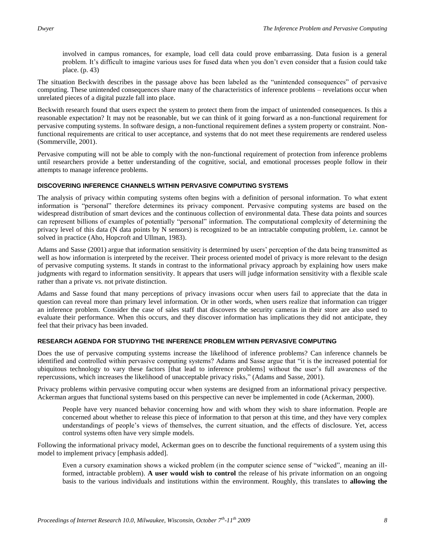involved in campus romances, for example, load cell data could prove embarrassing. Data fusion is a general problem. It's difficult to imagine various uses for fused data when you don't even consider that a fusion could take place. (p. 43)

The situation Beckwith describes in the passage above has been labeled as the "unintended consequences" of pervasive computing. These unintended consequences share many of the characteristics of inference problems – revelations occur when unrelated pieces of a digital puzzle fall into place.

Beckwith research found that users expect the system to protect them from the impact of unintended consequences. Is this a reasonable expectation? It may not be reasonable, but we can think of it going forward as a non-functional requirement for pervasive computing systems. In software design, a non-functional requirement defines a system property or constraint. Nonfunctional requirements are critical to user acceptance, and systems that do not meet these requirements are rendered useless (Sommerville, 2001).

Pervasive computing will not be able to comply with the non-functional requirement of protection from inference problems until researchers provide a better understanding of the cognitive, social, and emotional processes people follow in their attempts to manage inference problems.

# **DISCOVERING INFERENCE CHANNELS WITHIN PERVASIVE COMPUTING SYSTEMS**

The analysis of privacy within computing systems often begins with a definition of personal information. To what extent information is "personal" therefore determines its privacy component. Pervasive computing systems are based on the widespread distribution of smart devices and the continuous collection of environmental data. These data points and sources can represent billions of examples of potentially "personal" information. The computational complexity of determining the privacy level of this data (N data points by N sensors) is recognized to be an intractable computing problem, i.e. cannot be solved in practice (Aho, Hopcroft and Ullman, 1983).

Adams and Sasse (2001) argue that information sensitivity is determined by users' perception of the data being transmitted as well as how information is interpreted by the receiver. Their process oriented model of privacy is more relevant to the design of pervasive computing systems. It stands in contrast to the informational privacy approach by explaining how users make judgments with regard to information sensitivity. It appears that users will judge information sensitivity with a flexible scale rather than a private vs. not private distinction.

Adams and Sasse found that many perceptions of privacy invasions occur when users fail to appreciate that the data in question can reveal more than primary level information. Or in other words, when users realize that information can trigger an inference problem. Consider the case of sales staff that discovers the security cameras in their store are also used to evaluate their performance. When this occurs, and they discover information has implications they did not anticipate, they feel that their privacy has been invaded.

# **RESEARCH AGENDA FOR STUDYING THE INFERENCE PROBLEM WITHIN PERVASIVE COMPUTING**

Does the use of pervasive computing systems increase the likelihood of inference problems? Can inference channels be identified and controlled within pervasive computing systems? Adams and Sasse argue that "it is the increased potential for ubiquitous technology to vary these factors [that lead to inference problems] without the user's full awareness of the repercussions, which increases the likelihood of unacceptable privacy risks," (Adams and Sasse, 2001).

Privacy problems within pervasive computing occur when systems are designed from an informational privacy perspective. Ackerman argues that functional systems based on this perspective can never be implemented in code (Ackerman, 2000).

People have very nuanced behavior concerning how and with whom they wish to share information. People are concerned about whether to release this piece of information to that person at this time, and they have very complex understandings of people's views of themselves, the current situation, and the effects of disclosure. Yet, access control systems often have very simple models.

Following the informational privacy model, Ackerman goes on to describe the functional requirements of a system using this model to implement privacy [emphasis added].

Even a cursory examination shows a wicked problem (in the computer science sense of "wicked", meaning an illformed, intractable problem). **A user would wish to control** the release of his private information on an ongoing basis to the various individuals and institutions within the environment. Roughly, this translates to **allowing the**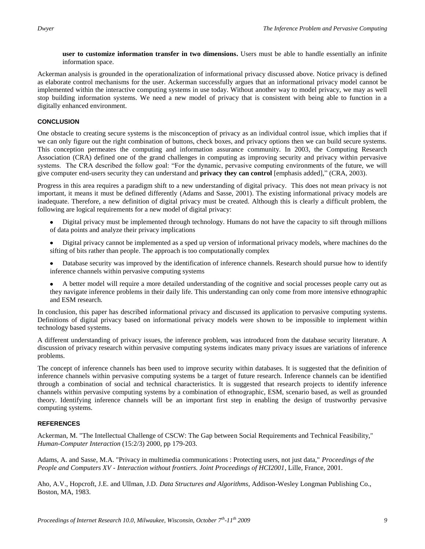**user to customize information transfer in two dimensions.** Users must be able to handle essentially an infinite information space.

Ackerman analysis is grounded in the operationalization of informational privacy discussed above. Notice privacy is defined as elaborate control mechanisms for the user. Ackerman successfully argues that an informational privacy model cannot be implemented within the interactive computing systems in use today. Without another way to model privacy, we may as well stop building information systems. We need a new model of privacy that is consistent with being able to function in a digitally enhanced environment.

# **CONCLUSION**

One obstacle to creating secure systems is the misconception of privacy as an individual control issue, which implies that if we can only figure out the right combination of buttons, check boxes, and privacy options then we can build secure systems. This conception permeates the computing and information assurance community. In 2003, the Computing Research Association (CRA) defined one of the grand challenges in computing as improving security and privacy within pervasive systems. The CRA described the follow goal: "For the dynamic, pervasive computing environments of the future, we will give computer end-users security they can understand and **privacy they can control** [emphasis added]," (CRA, 2003).

Progress in this area requires a paradigm shift to a new understanding of digital privacy. This does not mean privacy is not important, it means it must be defined differently (Adams and Sasse, 2001). The existing informational privacy models are inadequate. Therefore, a new definition of digital privacy must be created. Although this is clearly a difficult problem, the following are logical requirements for a new model of digital privacy:

- Digital privacy must be implemented through technology. Humans do not have the capacity to sift through millions of data points and analyze their privacy implications
- Digital privacy cannot be implemented as a sped up version of informational privacy models, where machines do the sifting of bits rather than people. The approach is too computationally complex
- Database security was improved by the identification of inference channels. Research should pursue how to identify inference channels within pervasive computing systems
- A better model will require a more detailed understanding of the cognitive and social processes people carry out as they navigate inference problems in their daily life. This understanding can only come from more intensive ethnographic and ESM research.

In conclusion, this paper has described informational privacy and discussed its application to pervasive computing systems. Definitions of digital privacy based on informational privacy models were shown to be impossible to implement within technology based systems.

A different understanding of privacy issues, the inference problem, was introduced from the database security literature. A discussion of privacy research within pervasive computing systems indicates many privacy issues are variations of inference problems.

The concept of inference channels has been used to improve security within databases. It is suggested that the definition of inference channels within pervasive computing systems be a target of future research. Inference channels can be identified through a combination of social and technical characteristics. It is suggested that research projects to identify inference channels within pervasive computing systems by a combination of ethnographic, ESM, scenario based, as well as grounded theory. Identifying inference channels will be an important first step in enabling the design of trustworthy pervasive computing systems.

## **REFERENCES**

Ackerman, M. "The Intellectual Challenge of CSCW: The Gap between Social Requirements and Technical Feasibility," *Human-Computer Interaction* (15:2/3) 2000, pp 179-203.

Adams, A. and Sasse, M.A. "Privacy in multimedia communications : Protecting users, not just data," *Proceedings of the People and Computers XV - Interaction without frontiers. Joint Proceedings of HCI2001*, Lille, France, 2001.

Aho, A.V., Hopcroft, J.E. and Ullman, J.D. *Data Structures and Algorithms*, Addison-Wesley Longman Publishing Co., Boston, MA, 1983.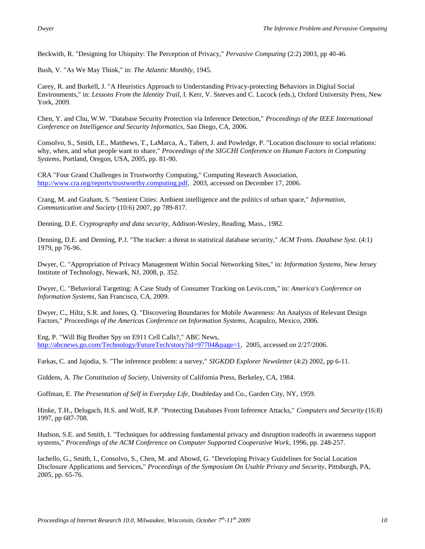Beckwith, R. "Designing for Ubiquity: The Perception of Privacy," *Pervasive Computing* (2:2) 2003, pp 40-46.

Bush, V. "As We May Think," in: *The Atlantic Monthly*, 1945.

Carey, R. and Burkell, J. "A Heuristics Approach to Understanding Privacy-protecting Behaviors in Digital Social Environments," in: *Lessons From the Identity Trail,* I. Kerr, V. Steeves and C. Lucock (eds.), Oxford University Press, New York, 2009.

Chen, Y. and Chu, W.W. "Database Security Protection via Inference Detection," *Proceedings of the IEEE International Conference on Intelligence and Security Informatics*, San Diego, CA, 2006.

Consolvo, S., Smith, I.E., Matthews, T., LaMarca, A., Tabert, J. and Powledge, P. "Location disclosure to social relations: why, when, and what people want to share," *Proceedings of the SIGCHI Conference on Human Factors in Computing Systems*, Portland, Oregon, USA, 2005, pp. 81-90.

CRA "Four Grand Challenges in Trustworthy Computing," Computing Research Association, <http://www.cra.org/reports/trustworthy.computing.pdf>*,* 2003, accessed on December 17, 2006.

Crang, M. and Graham, S. "Sentient Cities: Ambient intelligence and the politics of urban space," *Information, Communication and Society* (10:6) 2007, pp 789-817.

Denning, D.E. *Cryptography and data security*, Addison-Wesley, Reading, Mass., 1982.

Denning, D.E. and Denning, P.J. "The tracker: a threat to statistical database security," *ACM Trans. Database Syst.* (4:1) 1979, pp 76-96.

Dwyer, C. "Appropriation of Privacy Management Within Social Networking Sites," in: *Information Systems*, New Jersey Institute of Technology, Newark, NJ, 2008, p. 352.

Dwyer, C. "Behavioral Targeting: A Case Study of Consumer Tracking on Levis.com," in: *America's Conference on Information Systems*, San Francisco, CA, 2009.

Dwyer, C., Hiltz, S.R. and Jones, Q. "Discovering Boundaries for Mobile Awareness: An Analysis of Relevant Design Factors," *Proceedings of the Americas Conference on Information Systems*, Acapulco, Mexico, 2006.

Eng, P. "Will Big Brother Spy on E911 Cell Calls?," ABC News, <http://abcnews.go.com/Technology/FutureTech/story?id=97704&page=1>*,* 2005, accessed on 2/27/2006.

Farkas, C. and Jajodia, S. "The inference problem: a survey," *SIGKDD Explorer Newsletter* (4:2) 2002, pp 6-11.

Giddens, A. *The Constitution of Society*, University of California Press, Berkeley, CA, 1984.

Goffman, E. *The Presentation of Self in Everyday Life*, Doubleday and Co., Garden City, NY, 1959.

Hinke, T.H., Delugach, H.S. and Wolf, R.P. "Protecting Databases From Inference Attacks," *Computers and Security* (16:8) 1997, pp 687-708.

Hudson, S.E. and Smith, I. "Techniques for addressing fundamental privacy and disruption tradeoffs in awareness support systems," *Proceedings of the ACM Conference on Computer Supported Cooperative Work*, 1996, pp. 248-257.

Iachello, G., Smith, I., Consolvo, S., Chen, M. and Abowd, G. "Developing Privacy Guidelines for Social Location Disclosure Applications and Services," *Proceedings of the Symposium On Usable Privacy and Security*, Pittsburgh, PA, 2005, pp. 65-76.